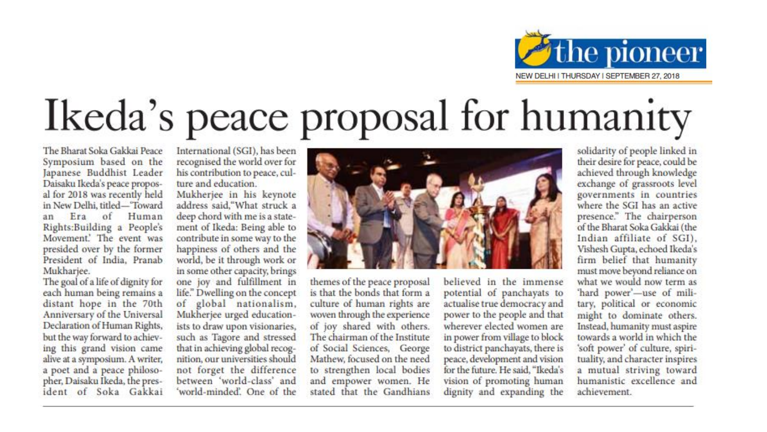

# Ikeda's peace proposal for humanity

The Bharat Soka Gakkai Peace Symposium based on the Japanese Buddhist Leader Daisaku Ikeda's peace proposal for 2018 was recently held in New Delhi, titled-Toward Era of Human an Rights:Building a People's Movement. The event was presided over by the former President of India, Pranab Mukhariee.

The goal of a life of dignity for each human being remains a distant hope in the 70th Anniversary of the Universal Declaration of Human Rights, but the way forward to achieving this grand vision came alive at a symposium. A writer, a poet and a peace philosopher, Daisaku Ikeda, the president of Soka Gakkai International (SGI), has been recognised the world over for his contribution to peace, culture and education

Mukherjee in his keynote address said."What struck a deep chord with me is a statement of Ikeda: Being able to contribute in some way to the happiness of others and the world, be it through work or in some other capacity, brings one joy and fulfillment in life." Dwelling on the concept of global nationalism, Mukherjee urged educationists to draw upon visionaries, such as Tagore and stressed that in achieving global recognition, our universities should not forget the difference between 'world-class' and 'world-minded'. One of the



themes of the peace proposal is that the bonds that form a culture of human rights are woven through the experience of joy shared with others. The chairman of the Institute of Social Sciences, George Mathew, focused on the need to strengthen local bodies and empower women. He stated that the Gandhians

believed in the immense potential of panchayats to actualise true democracy and power to the people and that wherever elected women are in power from village to block to district panchayats, there is peace, development and vision for the future. He said, "Ikeda's vision of promoting human dignity and expanding the

solidarity of people linked in their desire for peace, could be achieved through knowledge exchange of grassroots level governments in countries where the SGI has an active presence." The chairperson of the Bharat Soka Gakkai (the Indian affiliate of SGI), Vishesh Gupta, echoed Ikeda's firm belief that humanity must move beyond reliance on what we would now term as 'hard power'-use of military, political or economic might to dominate others. Instead, humanity must aspire towards a world in which the 'soft power' of culture, spirituality, and character inspires a mutual striving toward humanistic excellence and achievement.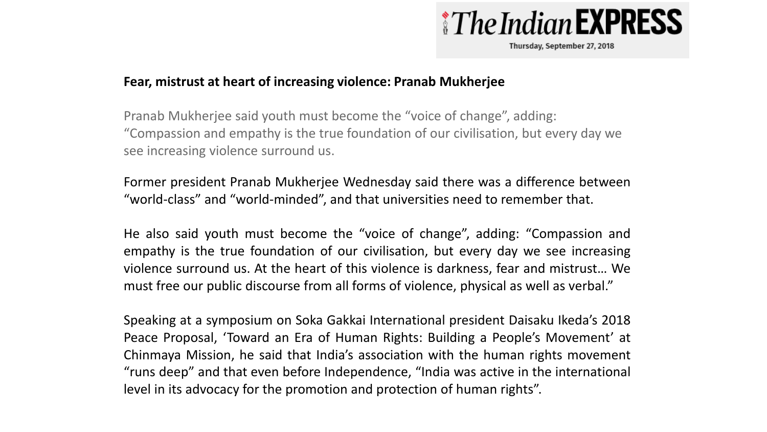

Thursday, September 27, 2018

#### **Fear, mistrust at heart of increasing violence: Pranab Mukherjee**

Pranab Mukherjee said youth must become the "voice of change", adding: "Compassion and empathy is the true foundation of our civilisation, but every day we see increasing violence surround us.

Former president Pranab Mukherjee Wednesday said there was a difference between "world-class" and "world-minded", and that universities need to remember that.

He also said youth must become the "voice of change", adding: "Compassion and empathy is the true foundation of our civilisation, but every day we see increasing violence surround us. At the heart of this violence is darkness, fear and mistrust… We must free our public discourse from all forms of violence, physical as well as verbal."

Speaking at a symposium on Soka Gakkai International president Daisaku Ikeda's 2018 Peace Proposal, 'Toward an Era of Human Rights: Building a People's Movement' at Chinmaya Mission, he said that India's association with the human rights movement "runs deep" and that even before Independence, "India was active in the international level in its advocacy for the promotion and protection of human rights".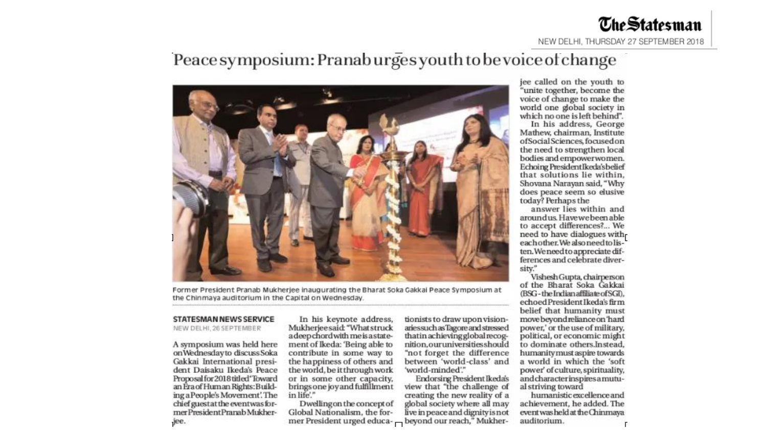#### Peace symposium: Pranab urges youth to be voice of change



Former President Pranab Mukherjee inaugurating the Bharat Soka Gakkai Peace Symposium at the Chinmaya auditorium in the Capital on Wednesday.

#### **STATESMAN NEWS SERVICE**

NEW DELHI, 26 SEPTEMBER

A symposium was held here onWednesdayto discuss Soka Gakkai International president Daisaku Ikeda's Peace Proposal for 2018 titled 'Toward an Era of Human Rights: Building a People's Movement'. The chief guestat the event was former President Pranab Mukherjee.

In his keynote address, Mukherjeesaid: "What struck adeep chord with me is a statement of Ikeda: 'Being able to contribute in some way to the happiness of others and the world, be it through work or in some other capacity, brings one joy and fulfillment in life."

Dwelling on the concept of Global Nationalism, the former President urged educa- - beyond our reach," Mukher-

tionists to draw upon visionaries such as Tagore and stressed that in achieving global recognition.ouruniversities should "not forget the difference between 'world-class' and 'world-minded'."

**Endorsing President Ikeda's** view that "the challenge of creating the new reality of a global society where all may live in peace and dignity is not

jee called on the youth to "unite together, become the voice of change to make the world one global society in which no one is left behind".

In his address, George Mathew, chairman, Institute ofSocialSciences, focused on the need to strengthen local bodies and empowerwomen. Echoing PresidentIkeda's belief that solutions lie within, Shovana Narayan said, "Why does peace seem so elusive today? Perhaps the

answer lies within and aroundus. Have we been able to accept differences?... We need to have dialogues witheach other. We also need to listen. We need to appreciate differences and celebrate diversity."

Vishesh Gupta, chairperson of the Bharat Soka Gakkai (BSG-the Indian affiliate of SGI), echoed President Ikeda's firm belief that humanity must move beyond reliance on 'hard power,' or the use of military, political, or economic might to dominate others.Instead. humanity must aspire towards a world in which the 'soft power' of culture, spirituality, and character inspires a mutual striving toward

humanistic excellence and achievement, he added. The event was held at the Chinmaya auditorium.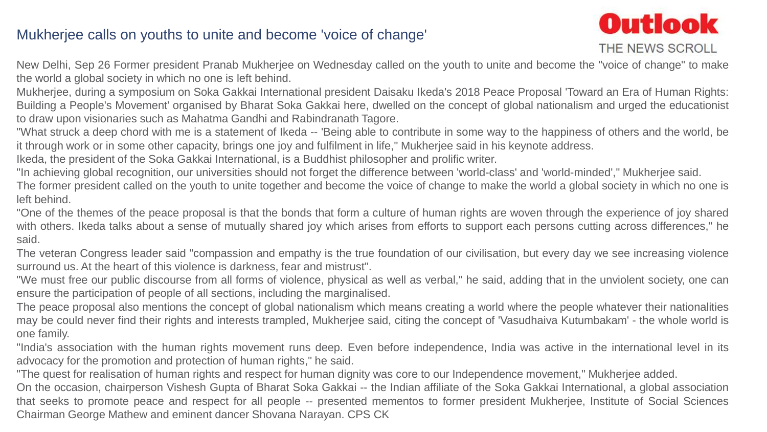#### Mukherjee calls on youths to unite and become 'voice of change'



New Delhi, Sep 26 Former president Pranab Mukherjee on Wednesday called on the youth to unite and become the "voice of change" to make the world a global society in which no one is left behind.

Mukherjee, during a symposium on Soka Gakkai International president Daisaku Ikeda's 2018 Peace Proposal 'Toward an Era of Human Rights: Building a People's Movement' organised by Bharat Soka Gakkai here, dwelled on the concept of global nationalism and urged the educationist to draw upon visionaries such as Mahatma Gandhi and Rabindranath Tagore.

"What struck a deep chord with me is a statement of Ikeda -- 'Being able to contribute in some way to the happiness of others and the world, be it through work or in some other capacity, brings one joy and fulfilment in life," Mukherjee said in his keynote address.

Ikeda, the president of the Soka Gakkai International, is a Buddhist philosopher and prolific writer.

"In achieving global recognition, our universities should not forget the difference between 'world-class' and 'world-minded'," Mukherjee said.

The former president called on the youth to unite together and become the voice of change to make the world a global society in which no one is left behind.

"One of the themes of the peace proposal is that the bonds that form a culture of human rights are woven through the experience of joy shared with others. Ikeda talks about a sense of mutually shared joy which arises from efforts to support each persons cutting across differences," he said.

The veteran Congress leader said "compassion and empathy is the true foundation of our civilisation, but every day we see increasing violence surround us. At the heart of this violence is darkness, fear and mistrust".

"We must free our public discourse from all forms of violence, physical as well as verbal," he said, adding that in the unviolent society, one can ensure the participation of people of all sections, including the marginalised.

The peace proposal also mentions the concept of global nationalism which means creating a world where the people whatever their nationalities may be could never find their rights and interests trampled, Mukherjee said, citing the concept of 'Vasudhaiva Kutumbakam' - the whole world is one family.

"India's association with the human rights movement runs deep. Even before independence, India was active in the international level in its advocacy for the promotion and protection of human rights," he said.

"The quest for realisation of human rights and respect for human dignity was core to our Independence movement," Mukherjee added.

On the occasion, chairperson Vishesh Gupta of Bharat Soka Gakkai -- the Indian affiliate of the Soka Gakkai International, a global association that seeks to promote peace and respect for all people -- presented mementos to former president Mukherjee, Institute of Social Sciences Chairman George Mathew and eminent dancer Shovana Narayan. CPS CK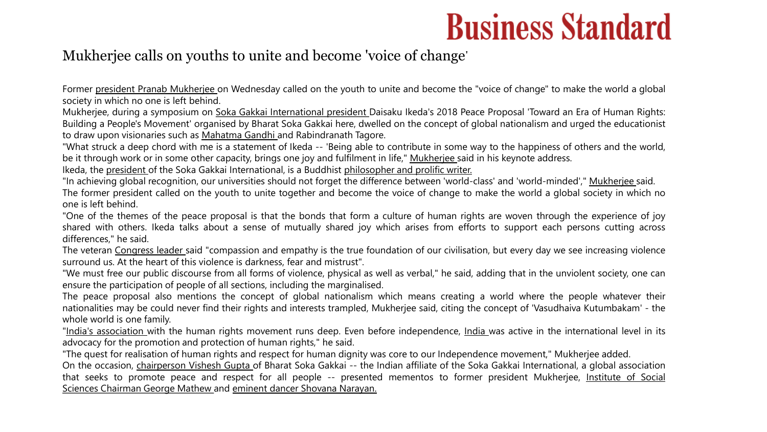### **Business Standard**

#### Mukherjee calls on youths to unite and become 'voice of change'

Former president [Pranab](https://www.business-standard.com/search?type=news&q=pranab) [Mukherjee](https://www.business-standard.com/search?type=news&q=president) on Wednesday called on the youth to unite and become the "voice of change" to make the world a global society in which no one is left behind.

Mukherjee, during a symposium on Soka Gakkai [International](https://www.business-standard.com/search?type=news&q=soka+gakkai+international) [president](https://www.business-standard.com/search?type=news&q=president) Daisaku Ikeda's 2018 Peace Proposal 'Toward an Era of Human Rights: Building a People's Movement' organised by Bharat Soka Gakkai here, dwelled on the concept of global nationalism and urged the educationist to draw upon visionaries such as [Mahatma](https://www.business-standard.com/search?type=news&q=mahatma+gandhi) Gandhi and Rabindranath Tagore.

"What struck a deep chord with me is a statement of Ikeda -- 'Being able to contribute in some way to the happiness of others and the world, be it through work or in some other capacity, brings one joy and fulfilment in life," [Mukherjee](https://www.business-standard.com/search?type=news&q=mukherjee) said in his keynote address.

Ikeda, the [president](https://www.business-standard.com/search?type=news&q=president) of the Soka Gakkai International, is a Buddhist [philosopher](https://www.business-standard.com/search?type=news&q=philosopher+and+prolific+writer) and prolific writer.

"In achieving global recognition, our universities should not forget the difference between 'world-class' and 'world-minded'," [Mukherjee](https://www.business-standard.com/search?type=news&q=mukherjee) said. The former president called on the youth to unite together and become the voice of change to make the world a global society in which no one is left behind.

"One of the themes of the peace proposal is that the bonds that form a culture of human rights are woven through the experience of joy shared with others. Ikeda talks about a sense of mutually shared joy which arises from efforts to support each persons cutting across differences," he said.

The veteran [Congress](https://www.business-standard.com/search?type=news&q=congress) [leader](https://www.business-standard.com/search?type=news&q=leader) said "compassion and empathy is the true foundation of our civilisation, but every day we see increasing violence surround us. At the heart of this violence is darkness, fear and mistrust".

"We must free our public discourse from all forms of violence, physical as well as verbal," he said, adding that in the unviolent society, one can ensure the participation of people of all sections, including the marginalised.

The peace proposal also mentions the concept of global nationalism which means creating a world where the people whatever their nationalities may be could never find their rights and interests trampled, Mukherjee said, citing the concept of 'Vasudhaiva Kutumbakam' - the whole world is one family.

"India's [association](https://www.business-standard.com/search?type=news&q=indias+association) with the human rights movement runs deep. Even before independence, [India](https://www.business-standard.com/search?type=news&q=india) was active in the international level in its advocacy for the promotion and protection of human rights," he said.

"The quest for realisation of human rights and respect for human dignity was core to our Independence movement," Mukherjee added.

On the occasion, [chairperson](https://www.business-standard.com/search?type=news&q=chairperson) [Vishesh](https://www.business-standard.com/search?type=news&q=vishesh+gupta) Gupta of Bharat Soka Gakkai -- the Indian affiliate of the Soka Gakkai International, a global association that seeks to promote peace and respect for all people -- presented mementos to former president [Mukherjee,](https://www.business-standard.com/search?type=news&q=institute+of+social+sciences) Institute of Social Sciences [Chairman](https://www.business-standard.com/search?type=news&q=chairman) George [Mathew](https://www.business-standard.com/search?type=news&q=george+mathew) and eminent dancer Shovana [Narayan](https://www.business-standard.com/search?type=news&q=shovana+narayan)[.](https://www.business-standard.com/search?type=news&q=eminent+dancer)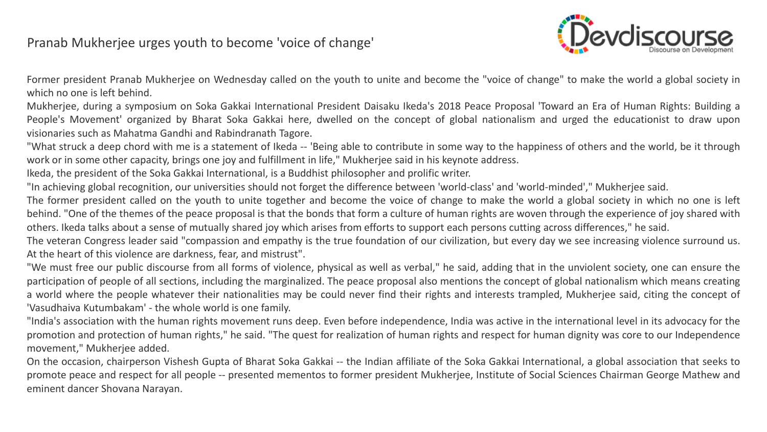#### Pranab Mukherjee urges youth to become 'voice of change'



Former president Pranab Mukherjee on Wednesday called on the youth to unite and become the "voice of change" to make the world a global society in which no one is left behind.

Mukherjee, during a symposium on Soka Gakkai International President Daisaku Ikeda's 2018 Peace Proposal 'Toward an Era of Human Rights: Building a People's Movement' organized by Bharat Soka Gakkai here, dwelled on the concept of global nationalism and urged the educationist to draw upon visionaries such as Mahatma Gandhi and Rabindranath Tagore.

"What struck a deep chord with me is a statement of Ikeda -- 'Being able to contribute in some way to the happiness of others and the world, be it through work or in some other capacity, brings one joy and fulfillment in life," Mukherjee said in his keynote address.

Ikeda, the president of the Soka Gakkai International, is a Buddhist philosopher and prolific writer.

"In achieving global recognition, our universities should not forget the difference between 'world-class' and 'world-minded'," Mukherjee said.

The former president called on the youth to unite together and become the voice of change to make the world a global society in which no one is left behind. "One of the themes of the peace proposal is that the bonds that form a culture of human rights are woven through the experience of joy shared with others. Ikeda talks about a sense of mutually shared joy which arises from efforts to support each persons cutting across differences," he said.

The veteran Congress leader said "compassion and empathy is the true foundation of our civilization, but every day we see increasing violence surround us. At the heart of this violence are darkness, fear, and mistrust".

"We must free our public discourse from all forms of violence, physical as well as verbal," he said, adding that in the unviolent society, one can ensure the participation of people of all sections, including the marginalized. The peace proposal also mentions the concept of global nationalism which means creating a world where the people whatever their nationalities may be could never find their rights and interests trampled, Mukherjee said, citing the concept of 'Vasudhaiva Kutumbakam' - the whole world is one family.

"India's association with the human rights movement runs deep. Even before independence, India was active in the international level in its advocacy for the promotion and protection of human rights," he said. "The quest for realization of human rights and respect for human dignity was core to our Independence movement," Mukherjee added.

On the occasion, chairperson Vishesh Gupta of Bharat Soka Gakkai -- the Indian affiliate of the Soka Gakkai International, a global association that seeks to promote peace and respect for all people -- presented mementos to former president Mukherjee, Institute of Social Sciences Chairman George Mathew and eminent dancer Shovana Narayan.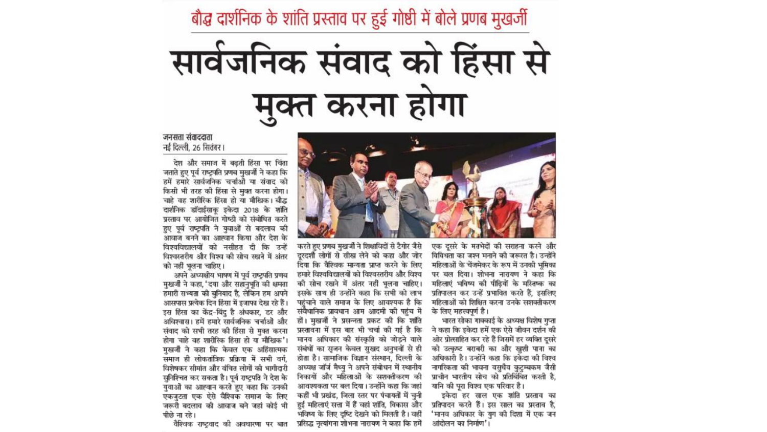बौद्ध दार्शनिक के शांति प्रस्ताव पर हुई गोष्ठी में बोले प्रणब मुखर्जी

# सार्वजनिक संवाद को हिंसा से मुक्त करना होगा

जनसत्ता संवाददाता नई दिल्ली. 26 सितंबर।

देश और समाज में बढती हिंसा पर चिंता जताते हुए पूर्व राष्ट्रपति प्रणब मुखर्जी ने कहा कि हमें हमारे सार्वजनिक चर्चाओं या संवाद को किसी भी तरह की हिंसा से मुक्त करना होगा। चाहे वह शारीरिक हिंसा हो या मौखिक। बौद्ध दार्शनिक डॉदाईसाकू इकेदा 2018 के शांति प्रस्ताव पर आयोजित गोष्ठी को संबोधित करते हुए पूर्व राष्ट्रपति ने युवाओं से बदलाव की आवाज बनने का आह्वान किया और देश के विश्वविद्यालयों को नसीहत दी कि उन्हें विश्वस्तरीय और विश्व की सोच रखने में अंतर को नहीं भुलना चाहिए।

अपने अध्यक्षीय भाषण में पूर्व राष्ट्रपति प्रणब मुखर्जी ने कहा, 'दया और सहानुभूति की क्षमता हमारी सभ्यता की बुनियाद है, लेकिन हम अपने आसपास प्रत्येक दिन हिंसा में इजाफा देख रहे हैं। इस हिंसा का केंद्र-बिंदु है अंधकार, डर और अविश्वास। हमें हमारे सार्वजनिक चर्चाओं और संवाद को सभी तरह की हिंसा से मुक्त करना होगा चाहे वह शारीरिक हिंसा हो या मौखिक'। मुखर्जी ने कहा कि केवल एक अहिंसात्मक समाज ही लोकतांत्रिक प्रक्रिया में सभी वर्ग. विशेषकर सीमांत और वंचित लोगों की भागीदारी सुनिश्चित कर सकता है। पूर्व राष्ट्रपति ने देश के यवाओं का आह्वान करते हुए कहा कि उनकी एकजुटता एक ऐसे वैश्विक समाज के लिए जरूरी बदलाव की आवाज बने जहां कोई भी पीछे ना रहे।

वैश्विक राष्टवाद की अवधारणा पर बात



करते हुए प्रणब मुखर्जी ने शिक्षाविदों से टैगोर जैसे दरदर्शी लोगों से सीख लेने को कहा और जोर दिया कि वैश्विक मान्यता प्राप्त करने के लिए हमारे विश्वविद्यालयों को विश्वस्तरीय और विश्व की सोच रखने में अंतर नहीं भुलना चाहिए। इसके साथ ही उन्होंने कहा कि सभी को लाभ पहंचाने वाले समाज के लिए आवश्यक है कि संवैधानिक प्रावधान आम आदमी की पहुंच में हों। मुखर्जी ने प्रसन्नता प्रकट की कि शांति प्रस्तावना में इस बार भी चर्चा की गई है कि मानव अधिकार की संस्कृति को जोड़ने वाले संबंधों का सजन केवल सखद अनभवों से ही होता है। सामाजिक विज्ञान संस्थान, दिल्ली के अध्यक्ष जॉर्ज मैथ्यु ने अपने संबोधन में स्थानीय निकायों और महिलाओं के सशक्तीकरण की आवश्यकता पर बल दिया। उन्होंने कहा कि जहां कहीं भी प्रखंड, जिला स्तर पर पंचायतों में चुनी हुई महिलाएं सत्ता में हैं वहां शांति, विकास और भविष्य के लिए दृष्टि देखने को मिलती है। वहीं प्रसिद्ध नृत्यांगना शोभना नारायण ने कहा कि हमें

एक दसरे के मतभेदों की सराहना करने और विविधता का जश्न मनाने की जरूरत है। उन्होंने महिलाओं के चेंजमेकर के रूप में उनकी भूमिका पर बल दिया। शोभना नारायण ने कहा कि महिलाएं भविष्य की पीढ़ियों के मरितष्क का प्रतिपालन कर उन्हें प्रभावित करते हैं, इसलिए महिलाओं को शिक्षित करना उनके सशक्तीकरण के लिए महत्त्वपूर्ण है।

भारत सोका गाक्काई के अध्यक्ष विशेष गुप्ता ने कहा कि इकेदा हमें एक ऐसे जीवन दर्शन की ओर प्रोत्साहित कर रहे हैं जिसमें हर व्यक्ति दुसरे को उत्कृष्ट बराबरी का और खुशी पाना का अधिकारी है। उन्होंने कहा कि इकेंदा की विश्व नागरिकता की भावना वसुधैव कुटुम्बकम जैसी प्राचीन भारतीय सोच को प्रतिबिंबित करती है. यानि की पुरा विश्व एक परिवार है।

इकेदा हर साल एक शांति प्रस्ताव का प्रतिपादन करते हैं। इस साल का प्रस्ताव है, 'मानव अधिकार के युग की दिशा में एक जन आंदोलन का निर्माण'।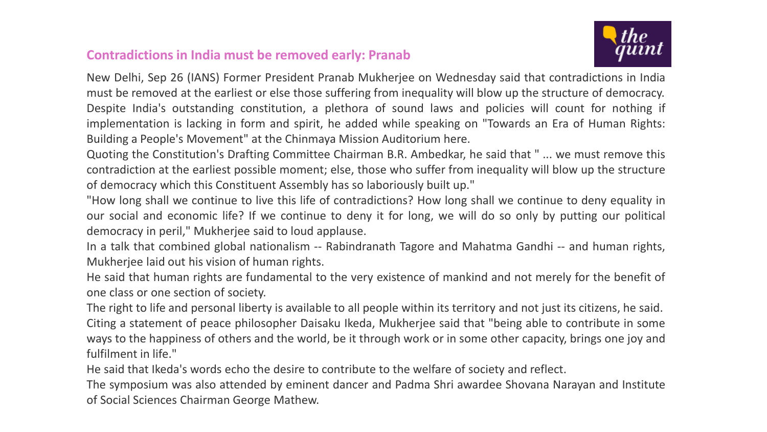#### **Contradictions in India must be removed early: Pranab**



New Delhi, Sep 26 (IANS) Former President Pranab Mukherjee on Wednesday said that contradictions in India must be removed at the earliest or else those suffering from inequality will blow up the structure of democracy. Despite India's outstanding constitution, a plethora of sound laws and policies will count for nothing if implementation is lacking in form and spirit, he added while speaking on "Towards an Era of Human Rights: Building a People's Movement" at the Chinmaya Mission Auditorium here.

Quoting the Constitution's Drafting Committee Chairman B.R. Ambedkar, he said that " ... we must remove this contradiction at the earliest possible moment; else, those who suffer from inequality will blow up the structure of democracy which this Constituent Assembly has so laboriously built up."

"How long shall we continue to live this life of contradictions? How long shall we continue to deny equality in our social and economic life? If we continue to deny it for long, we will do so only by putting our political democracy in peril," Mukherjee said to loud applause.

In a talk that combined global nationalism -- Rabindranath Tagore and Mahatma Gandhi -- and human rights, Mukherjee laid out his vision of human rights.

He said that human rights are fundamental to the very existence of mankind and not merely for the benefit of one class or one section of society.

The right to life and personal liberty is available to all people within its territory and not just its citizens, he said. Citing a statement of peace philosopher Daisaku Ikeda, Mukherjee said that "being able to contribute in some ways to the happiness of others and the world, be it through work or in some other capacity, brings one joy and fulfilment in life."

He said that Ikeda's words echo the desire to contribute to the welfare of society and reflect.

The symposium was also attended by eminent dancer and Padma Shri awardee Shovana Narayan and Institute of Social Sciences Chairman George Mathew.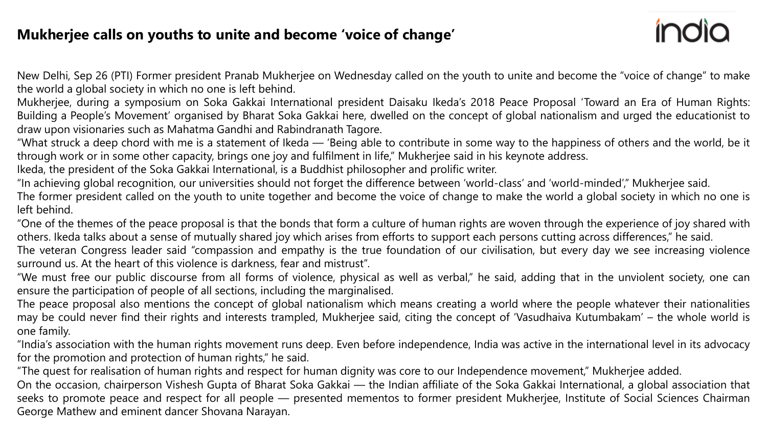#### **Mukherjee calls on youths to unite and become 'voice of change'**

New Delhi, Sep 26 (PTI) Former president Pranab Mukherjee on Wednesday called on the youth to unite and become the "voice of change" to make the world a global society in which no one is left behind.

Mukherjee, during a symposium on Soka Gakkai International president Daisaku Ikeda's 2018 Peace Proposal 'Toward an Era of Human Rights: Building a People's Movement' organised by Bharat Soka Gakkai here, dwelled on the concept of global nationalism and urged the educationist to draw upon visionaries such as Mahatma Gandhi and Rabindranath Tagore.

"What struck a deep chord with me is a statement of Ikeda — 'Being able to contribute in some way to the happiness of others and the world, be it through work or in some other capacity, brings one joy and fulfilment in life," Mukherjee said in his keynote address.

Ikeda, the president of the Soka Gakkai International, is a Buddhist philosopher and prolific writer.

"In achieving global recognition, our universities should not forget the difference between 'world-class' and 'world-minded'," Mukherjee said.

The former president called on the youth to unite together and become the voice of change to make the world a global society in which no one is left behind.

"One of the themes of the peace proposal is that the bonds that form a culture of human rights are woven through the experience of joy shared with others. Ikeda talks about a sense of mutually shared joy which arises from efforts to support each persons cutting across differences," he said.

The veteran Congress leader said "compassion and empathy is the true foundation of our civilisation, but every day we see increasing violence surround us. At the heart of this violence is darkness, fear and mistrust".

"We must free our public discourse from all forms of violence, physical as well as verbal," he said, adding that in the unviolent society, one can ensure the participation of people of all sections, including the marginalised.

The peace proposal also mentions the concept of global nationalism which means creating a world where the people whatever their nationalities may be could never find their rights and interests trampled, Mukherjee said, citing the concept of 'Vasudhaiva Kutumbakam' – the whole world is one family.

"India's association with the human rights movement runs deep. Even before independence, India was active in the international level in its advocacy for the promotion and protection of human rights," he said.

"The quest for realisation of human rights and respect for human dignity was core to our Independence movement," Mukherjee added.

On the occasion, chairperson Vishesh Gupta of Bharat Soka Gakkai — the Indian affiliate of the Soka Gakkai International, a global association that seeks to promote peace and respect for all people — presented mementos to former president Mukherjee, Institute of Social Sciences Chairman George Mathew and eminent dancer Shovana Narayan.